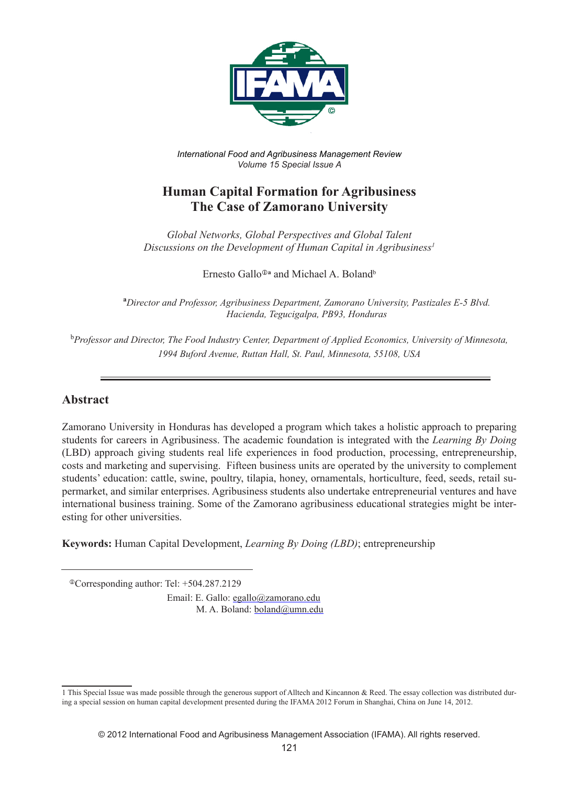

*International Food and Agribusiness Management Review Volume 15 Special Issue A*

# **Human Capital Formation for Agribusiness The Case of Zamorano University**

*Global Networks, Global Perspectives and Global Talent Discussions on the Development of Human Capital in Agribusiness1*

Ernesto Gallo<sup> $\Phi$ </sup>a and Michael A. Boland<sup>b</sup>

**a** *Director and Professor, Agribusiness Department, Zamorano University, Pastizales E-5 Blvd. Hacienda, Tegucigalpa, PB93, Honduras*

b *Professor and Director, The Food Industry Center, Department of Applied Economics, University of Minnesota, 1994 Buford Avenue, Ruttan Hall, St. Paul, Minnesota, 55108, USA*

## **Abstract**

Zamorano University in Honduras has developed a program which takes a holistic approach to preparing students for careers in Agribusiness. The academic foundation is integrated with the *Learning By Doing*  (LBD) approach giving students real life experiences in food production, processing, entrepreneurship, costs and marketing and supervising. Fifteen business units are operated by the university to complement students' education: cattle, swine, poultry, tilapia, honey, ornamentals, horticulture, feed, seeds, retail supermarket, and similar enterprises. Agribusiness students also undertake entrepreneurial ventures and have international business training. Some of the Zamorano agribusiness educational strategies might be interesting for other universities.

**Keywords:** Human Capital Development, *Learning By Doing (LBD)*; entrepreneurship

Corresponding author: Tel: +504.287.2129

Email: E. Gallo: egallo@zamorano.edu M. A. Boland: boland@umn.edu

<sup>1</sup> This Special Issue was made possible through the generous support of Alltech and Kincannon & Reed. The essay collection was distributed during a special session on human capital development presented during the IFAMA 2012 Forum in Shanghai, China on June 14, 2012.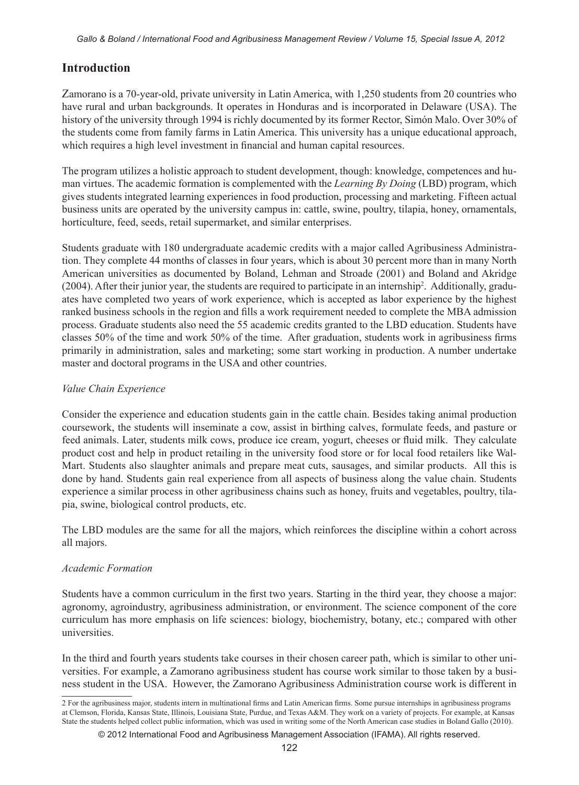# **Introduction**

Zamorano is a 70-year-old, private university in Latin America, with 1,250 students from 20 countries who have rural and urban backgrounds. It operates in Honduras and is incorporated in Delaware (USA). The history of the university through 1994 is richly documented by its former Rector, Simón Malo. Over 30% of the students come from family farms in Latin America. This university has a unique educational approach, which requires a high level investment in financial and human capital resources.

The program utilizes a holistic approach to student development, though: knowledge, competences and human virtues. The academic formation is complemented with the *Learning By Doing* (LBD) program, which gives students integrated learning experiences in food production, processing and marketing. Fifteen actual business units are operated by the university campus in: cattle, swine, poultry, tilapia, honey, ornamentals, horticulture, feed, seeds, retail supermarket, and similar enterprises.

Students graduate with 180 undergraduate academic credits with a major called Agribusiness Administration. They complete 44 months of classes in four years, which is about 30 percent more than in many North American universities as documented by Boland, Lehman and Stroade (2001) and Boland and Akridge (2004). After their junior year, the students are required to participate in an internship<sup>2</sup>. Additionally, graduates have completed two years of work experience, which is accepted as labor experience by the highest ranked business schools in the region and fills a work requirement needed to complete the MBA admission process. Graduate students also need the 55 academic credits granted to the LBD education. Students have classes 50% of the time and work 50% of the time. After graduation, students work in agribusiness firms primarily in administration, sales and marketing; some start working in production. A number undertake master and doctoral programs in the USA and other countries.

## *Value Chain Experience*

Consider the experience and education students gain in the cattle chain. Besides taking animal production coursework, the students will inseminate a cow, assist in birthing calves, formulate feeds, and pasture or feed animals. Later, students milk cows, produce ice cream, yogurt, cheeses or fluid milk. They calculate product cost and help in product retailing in the university food store or for local food retailers like Wal-Mart. Students also slaughter animals and prepare meat cuts, sausages, and similar products. All this is done by hand. Students gain real experience from all aspects of business along the value chain. Students experience a similar process in other agribusiness chains such as honey, fruits and vegetables, poultry, tilapia, swine, biological control products, etc.

The LBD modules are the same for all the majors, which reinforces the discipline within a cohort across all majors.

## *Academic Formation*

Students have a common curriculum in the first two years. Starting in the third year, they choose a major: agronomy, agroindustry, agribusiness administration, or environment. The science component of the core curriculum has more emphasis on life sciences: biology, biochemistry, botany, etc.; compared with other universities.

In the third and fourth years students take courses in their chosen career path, which is similar to other universities. For example, a Zamorano agribusiness student has course work similar to those taken by a business student in the USA. However, the Zamorano Agribusiness Administration course work is different in

<sup>2</sup> For the agribusiness major, students intern in multinational firms and Latin American firms. Some pursue internships in agribusiness programs at Clemson, Florida, Kansas State, Illinois, Louisiana State, Purdue, and Texas A&M. They work on a variety of projects. For example, at Kansas State the students helped collect public information, which was used in writing some of the North American case studies in Boland Gallo (2010).

<sup>© 2012</sup> International Food and Agribusiness Management Association (IFAMA). All rights reserved.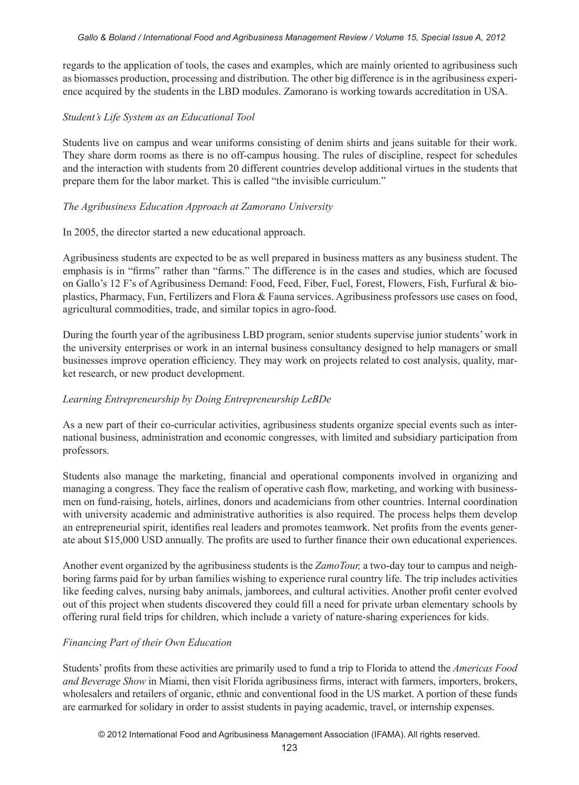regards to the application of tools, the cases and examples, which are mainly oriented to agribusiness such as biomasses production, processing and distribution. The other big difference is in the agribusiness experience acquired by the students in the LBD modules. Zamorano is working towards accreditation in USA.

#### *Student's Life System as an Educational Tool*

Students live on campus and wear uniforms consisting of denim shirts and jeans suitable for their work. They share dorm rooms as there is no off-campus housing. The rules of discipline, respect for schedules and the interaction with students from 20 different countries develop additional virtues in the students that prepare them for the labor market. This is called "the invisible curriculum."

#### *The Agribusiness Education Approach at Zamorano University*

#### In 2005, the director started a new educational approach.

Agribusiness students are expected to be as well prepared in business matters as any business student. The emphasis is in "firms" rather than "farms." The difference is in the cases and studies, which are focused on Gallo's 12 F's of Agribusiness Demand: Food, Feed, Fiber, Fuel, Forest, Flowers, Fish, Furfural & bioplastics, Pharmacy, Fun, Fertilizers and Flora & Fauna services. Agribusiness professors use cases on food, agricultural commodities, trade, and similar topics in agro-food.

During the fourth year of the agribusiness LBD program, senior students supervise junior students' work in the university enterprises or work in an internal business consultancy designed to help managers or small businesses improve operation efficiency. They may work on projects related to cost analysis, quality, market research, or new product development.

## *Learning Entrepreneurship by Doing Entrepreneurship LeBDe*

As a new part of their co-curricular activities, agribusiness students organize special events such as international business, administration and economic congresses, with limited and subsidiary participation from professors.

Students also manage the marketing, financial and operational components involved in organizing and managing a congress. They face the realism of operative cash flow, marketing, and working with businessmen on fund-raising, hotels, airlines, donors and academicians from other countries. Internal coordination with university academic and administrative authorities is also required. The process helps them develop an entrepreneurial spirit, identifies real leaders and promotes teamwork. Net profits from the events generate about \$15,000 USD annually. The profits are used to further finance their own educational experiences.

Another event organized by the agribusiness students is the *ZamoTour,* a two-day tour to campus and neighboring farms paid for by urban families wishing to experience rural country life. The trip includes activities like feeding calves, nursing baby animals, jamborees, and cultural activities. Another profit center evolved out of this project when students discovered they could fill a need for private urban elementary schools by offering rural field trips for children, which include a variety of nature-sharing experiences for kids.

## *Financing Part of their Own Education*

Students' profits from these activities are primarily used to fund a trip to Florida to attend the *Americas Food and Beverage Show* in Miami, then visit Florida agribusiness firms, interact with farmers, importers, brokers, wholesalers and retailers of organic, ethnic and conventional food in the US market. A portion of these funds are earmarked for solidary in order to assist students in paying academic, travel, or internship expenses.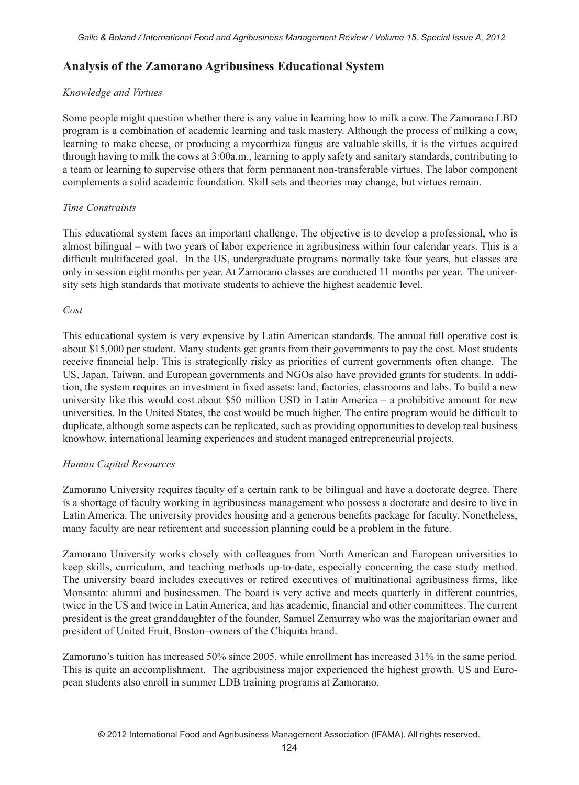## **Analysis of the Zamorano Agribusiness Educational System**

#### *Knowledge and Virtues*

Some people might question whether there is any value in learning how to milk a cow. The Zamorano LBD program is a combination of academic learning and task mastery. Although the process of milking a cow, learning to make cheese, or producing a mycorrhiza fungus are valuable skills, it is the virtues acquired through having to milk the cows at 3:00a.m., learning to apply safety and sanitary standards, contributing to a team or learning to supervise others that form permanent non-transferable virtues. The labor component complements a solid academic foundation. Skill sets and theories may change, but virtues remain.

#### *Time Constraints*

This educational system faces an important challenge. The objective is to develop a professional, who is almost bilingual – with two years of labor experience in agribusiness within four calendar years. This is a difficult multifaceted goal. In the US, undergraduate programs normally take four years, but classes are only in session eight months per year. At Zamorano classes are conducted 11 months per year. The university sets high standards that motivate students to achieve the highest academic level.

#### *Cost*

This educational system is very expensive by Latin American standards. The annual full operative cost is about \$15,000 per student. Many students get grants from their governments to pay the cost. Most students receive financial help. This is strategically risky as priorities of current governments often change. The US, Japan, Taiwan, and European governments and NGOs also have provided grants for students. In addition, the system requires an investment in fixed assets: land, factories, classrooms and labs. To build a new university like this would cost about \$50 million USD in Latin America – a prohibitive amount for new universities. In the United States, the cost would be much higher. The entire program would be difficult to duplicate, although some aspects can be replicated, such as providing opportunities to develop real business knowhow, international learning experiences and student managed entrepreneurial projects.

#### *Human Capital Resources*

Zamorano University requires faculty of a certain rank to be bilingual and have a doctorate degree. There is a shortage of faculty working in agribusiness management who possess a doctorate and desire to live in Latin America. The university provides housing and a generous benefits package for faculty. Nonetheless, many faculty are near retirement and succession planning could be a problem in the future.

Zamorano University works closely with colleagues from North American and European universities to keep skills, curriculum, and teaching methods up-to-date, especially concerning the case study method. The university board includes executives or retired executives of multinational agribusiness firms, like Monsanto: alumni and businessmen. The board is very active and meets quarterly in different countries, twice in the US and twice in Latin America, and has academic, financial and other committees. The current president is the great granddaughter of the founder, Samuel Zemurray who was the majoritarian owner and president of United Fruit, Boston–owners of the Chiquita brand.

Zamorano's tuition has increased 50% since 2005, while enrollment has increased 31% in the same period. This is quite an accomplishment. The agribusiness major experienced the highest growth. US and European students also enroll in summer LDB training programs at Zamorano.